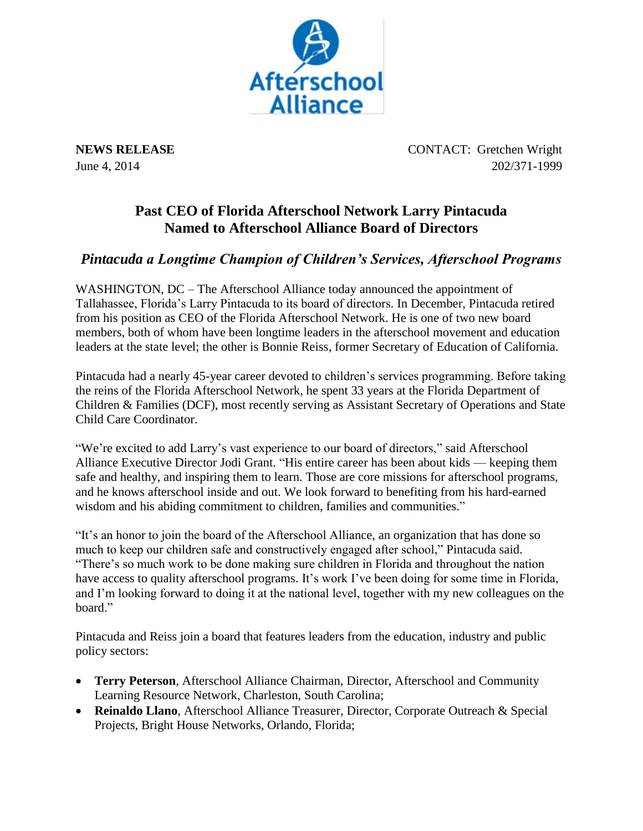

**NEWS RELEASE** CONTACT: Gretchen Wright June 4, 2014 202/371-1999

## **Past CEO of Florida Afterschool Network Larry Pintacuda Named to Afterschool Alliance Board of Directors**

## *Pintacuda a Longtime Champion of Children's Services, Afterschool Programs*

WASHINGTON, DC – The Afterschool Alliance today announced the appointment of Tallahassee, Florida's Larry Pintacuda to its board of directors. In December, Pintacuda retired from his position as CEO of the Florida Afterschool Network. He is one of two new board members, both of whom have been longtime leaders in the afterschool movement and education leaders at the state level; the other is Bonnie Reiss, former Secretary of Education of California.

Pintacuda had a nearly 45-year career devoted to children's services programming. Before taking the reins of the Florida Afterschool Network, he spent 33 years at the Florida Department of Children & Families (DCF), most recently serving as Assistant Secretary of Operations and State Child Care Coordinator.

"We're excited to add Larry's vast experience to our board of directors," said Afterschool Alliance Executive Director Jodi Grant. "His entire career has been about kids — keeping them safe and healthy, and inspiring them to learn. Those are core missions for afterschool programs, and he knows afterschool inside and out. We look forward to benefiting from his hard-earned wisdom and his abiding commitment to children, families and communities."

"It's an honor to join the board of the Afterschool Alliance, an organization that has done so much to keep our children safe and constructively engaged after school," Pintacuda said. "There's so much work to be done making sure children in Florida and throughout the nation have access to quality afterschool programs. It's work I've been doing for some time in Florida, and I'm looking forward to doing it at the national level, together with my new colleagues on the hoard"

Pintacuda and Reiss join a board that features leaders from the education, industry and public policy sectors:

- **Terry Peterson**, Afterschool Alliance Chairman, Director, Afterschool and Community Learning Resource Network, Charleston, South Carolina;
- **Reinaldo Llano**, Afterschool Alliance Treasurer, Director, Corporate Outreach & Special Projects, Bright House Networks, Orlando, Florida;